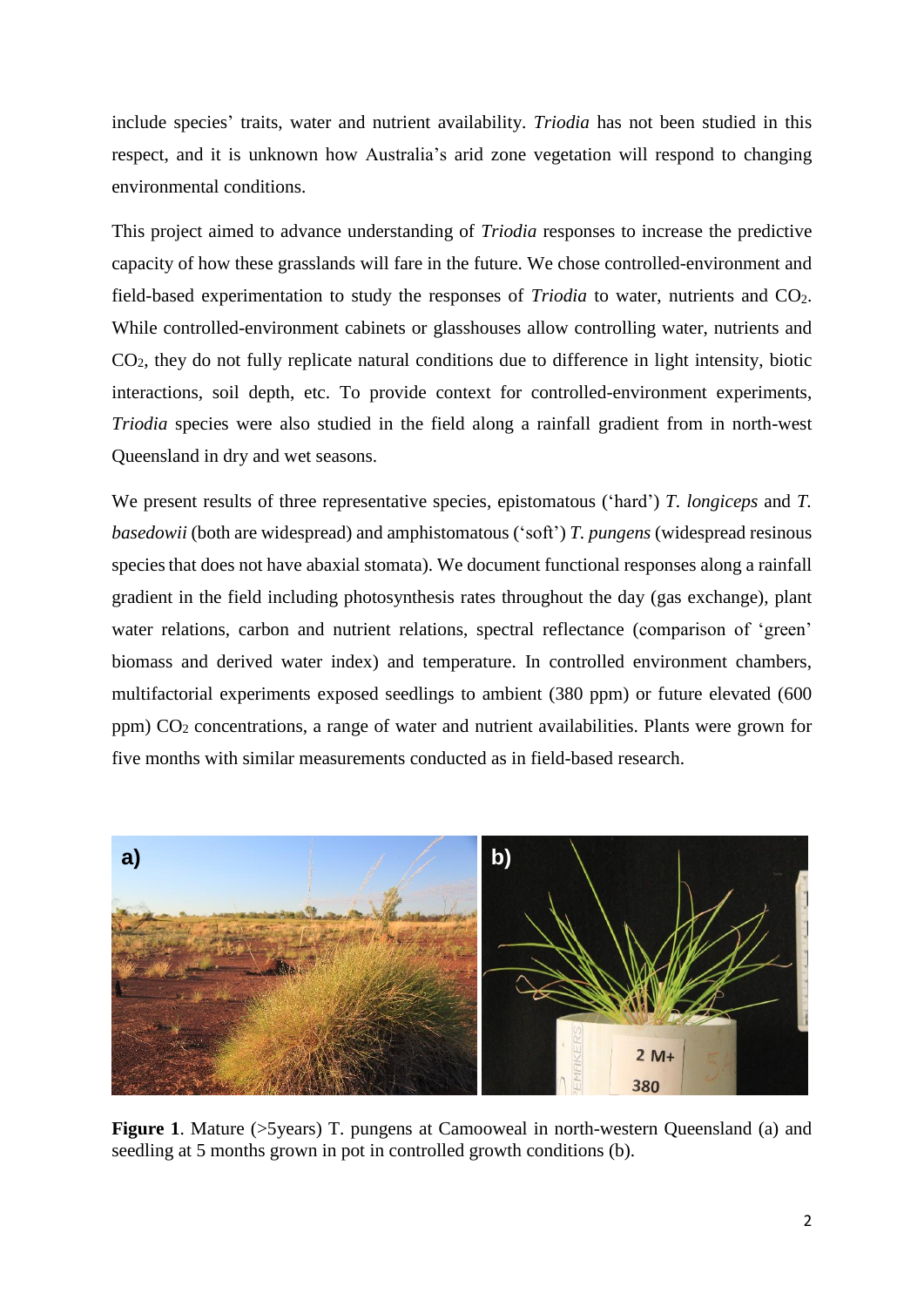include species' traits, water and nutrient availability. *Triodia* has not been studied in this respect, and it is unknown how Australia's arid zone vegetation will respond to changing environmental conditions.

This project aimed to advance understanding of *Triodia* responses to increase the predictive capacity of how these grasslands will fare in the future. We chose controlled-environment and field-based experimentation to study the responses of *Triodia* to water, nutrients and CO2. While controlled-environment cabinets or glasshouses allow controlling water, nutrients and CO2, they do not fully replicate natural conditions due to difference in light intensity, biotic interactions, soil depth, etc. To provide context for controlled-environment experiments, *Triodia* species were also studied in the field along a rainfall gradient from in north-west Queensland in dry and wet seasons.

We present results of three representative species, epistomatous ('hard') *T. longiceps* and *T. basedowii* (both are widespread) and amphistomatous ('soft') *T. pungens* (widespread resinous species that does not have abaxial stomata). We document functional responses along a rainfall gradient in the field including photosynthesis rates throughout the day (gas exchange), plant water relations, carbon and nutrient relations, spectral reflectance (comparison of 'green' biomass and derived water index) and temperature. In controlled environment chambers, multifactorial experiments exposed seedlings to ambient (380 ppm) or future elevated (600 ppm)  $CO<sub>2</sub> concentrations, a range of water and nutrient availability. Plants were grown for$ five months with similar measurements conducted as in field-based research.



**Figure 1.** Mature (>5years) T. pungens at Camooweal in north-western Queensland (a) and seedling at 5 months grown in pot in controlled growth conditions (b).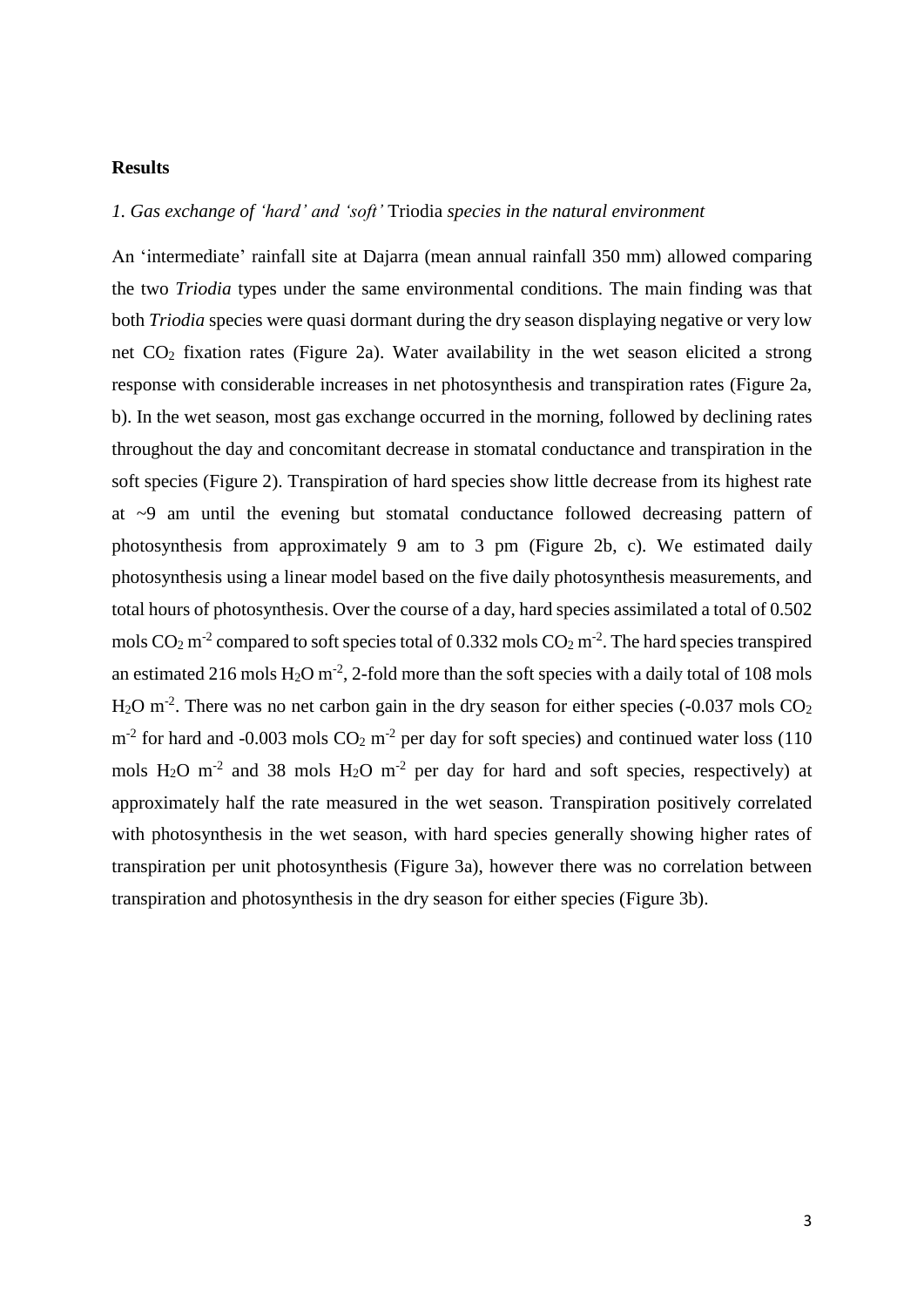## **Results**

## *1. Gas exchange of 'hard' and 'soft'* Triodia *species in the natural environment*

An 'intermediate' rainfall site at Dajarra (mean annual rainfall 350 mm) allowed comparing the two *Triodia* types under the same environmental conditions. The main finding was that both *Triodia* species were quasi dormant during the dry season displaying negative or very low net CO<sup>2</sup> fixation rates [\(Figure 2a](#page-3-0)). Water availability in the wet season elicited a strong response with considerable increases in net photosynthesis and transpiration rates [\(Figure](#page-3-0) 2a, b). In the wet season, most gas exchange occurred in the morning, followed by declining rates throughout the day and concomitant decrease in stomatal conductance and transpiration in the soft species [\(Figure 2\)](#page-3-0). Transpiration of hard species show little decrease from its highest rate at ~9 am until the evening but stomatal conductance followed decreasing pattern of photosynthesis from approximately 9 am to 3 pm [\(Figure](#page-3-0) 2b, c). We estimated daily photosynthesis using a linear model based on the five daily photosynthesis measurements, and total hours of photosynthesis. Over the course of a day, hard species assimilated a total of 0.502 mols  $CO<sub>2</sub>$  m<sup>-2</sup> compared to soft species total of 0.332 mols  $CO<sub>2</sub>$  m<sup>-2</sup>. The hard species transpired an estimated 216 mols  $H_2O$  m<sup>-2</sup>, 2-fold more than the soft species with a daily total of 108 mols  $H<sub>2</sub>O$  m<sup>-2</sup>. There was no net carbon gain in the dry season for either species (-0.037 mols  $CO<sub>2</sub>$  $m<sup>-2</sup>$  for hard and -0.003 mols  $CO<sub>2</sub> m<sup>-2</sup>$  per day for soft species) and continued water loss (110 mols  $H_2O$  m<sup>-2</sup> and 38 mols  $H_2O$  m<sup>-2</sup> per day for hard and soft species, respectively) at approximately half the rate measured in the wet season. Transpiration positively correlated with photosynthesis in the wet season, with hard species generally showing higher rates of transpiration per unit photosynthesis [\(Figure 3a](#page-3-1)), however there was no correlation between transpiration and photosynthesis in the dry season for either species [\(Figure 3b](#page-3-1)).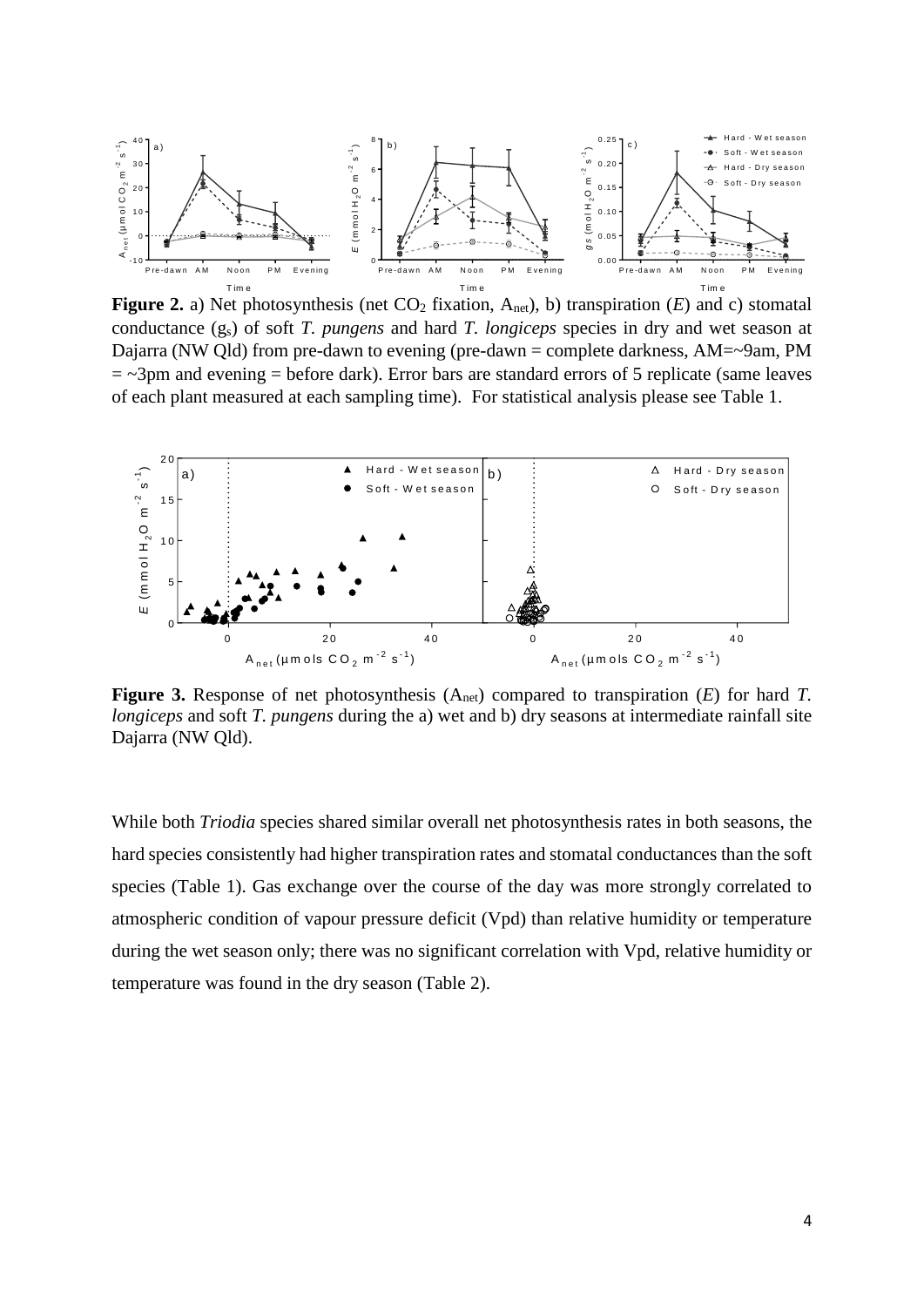

<span id="page-3-0"></span>**Figure 2.** a) Net photosynthesis (net  $CO_2$  fixation,  $A_{net}$ ), b) transpiration (*E*) and c) stomatal conductance (gs) of soft *T. pungens* and hard *T. longiceps* species in dry and wet season at Dajarra (NW Qld) from pre-dawn to evening (pre-dawn = complete darkness, AM=~9am, PM  $=$   $\sim$ 3pm and evening  $=$  before dark). Error bars are standard errors of 5 replicate (same leaves of each plant measured at each sampling time). For statistical analysis please see Table 1.



<span id="page-3-1"></span>Figure 3. Response of net photosynthesis (A<sub>net</sub>) compared to transpiration (*E*) for hard *T*. *longiceps* and soft *T. pungens* during the a) wet and b) dry seasons at intermediate rainfall site Dajarra (NW Qld).

While both *Triodia* species shared similar overall net photosynthesis rates in both seasons, the hard species consistently had higher transpiration rates and stomatal conductances than the soft species [\(Table 1\)](#page-4-0). Gas exchange over the course of the day was more strongly correlated to atmospheric condition of vapour pressure deficit (Vpd) than relative humidity or temperature during the wet season only; there was no significant correlation with Vpd, relative humidity or temperature was found in the dry season [\(Table 2\)](#page-4-1).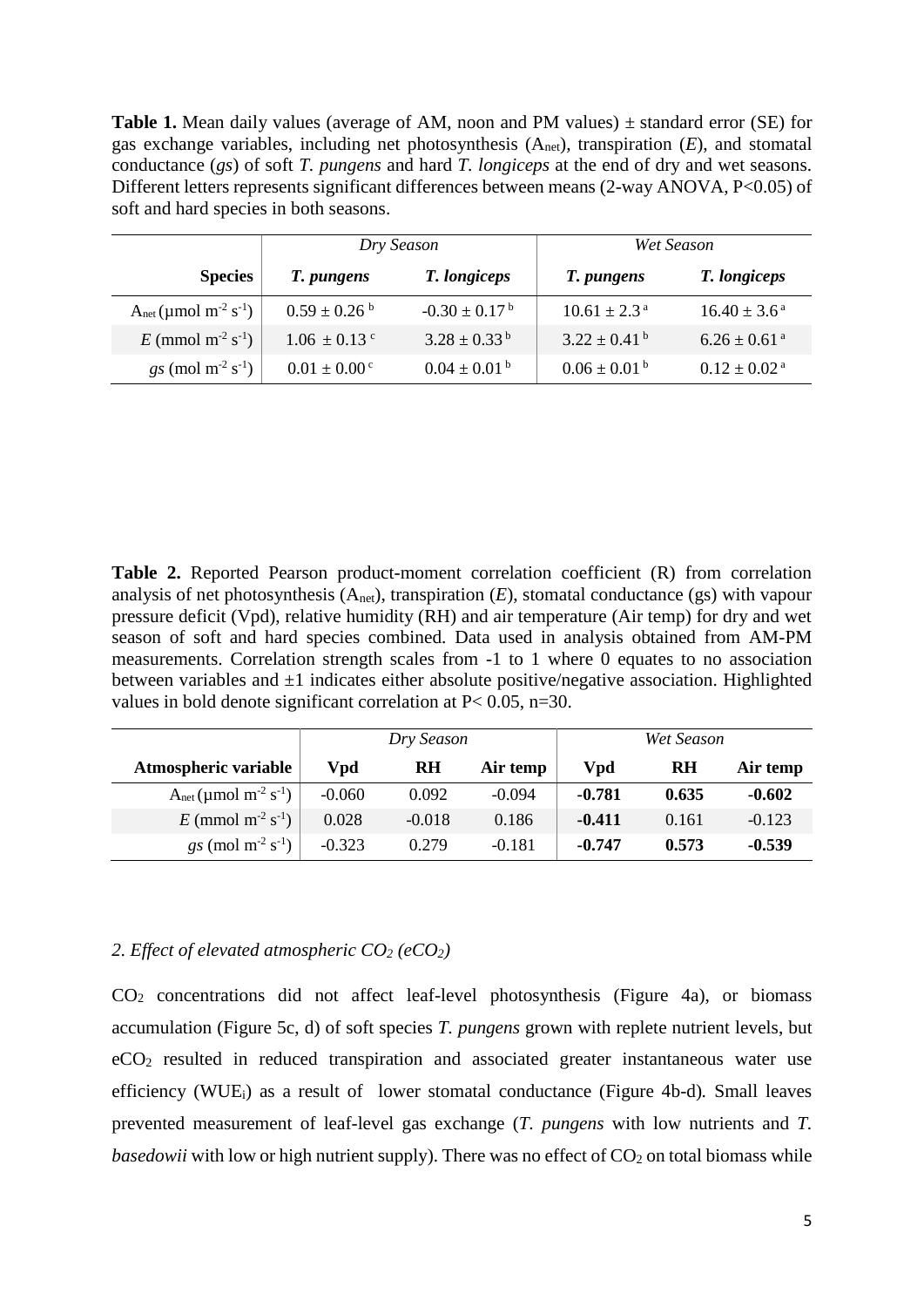<span id="page-4-0"></span>**Table 1.** Mean daily values (average of AM, noon and PM values) ± standard error (SE) for gas exchange variables, including net photosynthesis (Anet), transpiration (*E*), and stomatal conductance (*gs*) of soft *T. pungens* and hard *T. longiceps* at the end of dry and wet seasons. Different letters represents significant differences between means (2-way ANOVA, P<0.05) of soft and hard species in both seasons.

|                                           |                              | Dry Season                    | Wet Season                  |                              |  |
|-------------------------------------------|------------------------------|-------------------------------|-----------------------------|------------------------------|--|
| <b>Species</b>                            | T. pungens                   | T. longiceps                  | T. pungens                  | T. longiceps                 |  |
| $A_{net} (\mu mol m^2 s^{-1})$            | $0.59 \pm 0.26^{\mathrm{b}}$ | $-0.30 \pm 0.17^{\mathrm{b}}$ | $10.61 \pm 2.3^{\text{a}}$  | $16.40 \pm 3.6^{\text{ a}}$  |  |
| E (mmol m <sup>-2</sup> s <sup>-1</sup> ) | $1.06 \pm 0.13$ c            | $3.28 \pm 0.33^{\mathrm{b}}$  | $3.22 \pm 0.41^{\text{ b}}$ | $6.26 \pm 0.61$ <sup>a</sup> |  |
| $gs \text{ (mol m}^2 \text{ s}^{-1})$     | $0.01 \pm 0.00^{\circ}$      | $0.04 \pm 0.01^{\text{ b}}$   | $0.06 \pm 0.01^{\text{ b}}$ | $0.12 \pm 0.02^{\text{ a}}$  |  |

<span id="page-4-1"></span>**Table 2.** Reported Pearson product-moment correlation coefficient (R) from correlation analysis of net photosynthesis  $(A<sub>net</sub>)$ , transpiration  $(E)$ , stomatal conductance (gs) with vapour pressure deficit (Vpd), relative humidity (RH) and air temperature (Air temp) for dry and wet season of soft and hard species combined. Data used in analysis obtained from AM-PM measurements. Correlation strength scales from -1 to 1 where 0 equates to no association between variables and  $\pm 1$  indicates either absolute positive/negative association. Highlighted values in bold denote significant correlation at P< 0.05, n=30.

|                                                   | Dry Season |           |          | Wet Season |           |          |
|---------------------------------------------------|------------|-----------|----------|------------|-----------|----------|
| Atmospheric variable                              | Vpd        | <b>RH</b> | Air temp | Vpd        | <b>RH</b> | Air temp |
| $A_{net}$ (µmol m <sup>-2</sup> s <sup>-1</sup> ) | $-0.060$   | 0.092     | $-0.094$ | $-0.781$   | 0.635     | $-0.602$ |
| $E$ (mmol m <sup>-2</sup> s <sup>-1</sup> )       | 0.028      | $-0.018$  | 0.186    | $-0.411$   | 0.161     | $-0.123$ |
| $gs \text{ (mol m}^2 \text{ s}^{-1})$             | $-0.323$   | 0.279     | $-0.181$ | $-0.747$   | 0.573     | $-0.539$ |

## *2. Effect of elevated atmospheric CO<sup>2</sup> (eCO2)*

CO<sup>2</sup> concentrations did not affect leaf-level photosynthesis [\(Figure 4a](#page-5-0)), or biomass accumulation [\(Figure 5c](#page-6-0), d) of soft species *T. pungens* grown with replete nutrient levels, but eCO<sup>2</sup> resulted in reduced transpiration and associated greater instantaneous water use efficiency (WUEi) as a result of lower stomatal conductance [\(Figure 4b](#page-5-0)-d)*.* Small leaves prevented measurement of leaf-level gas exchange (*T. pungens* with low nutrients and *T. basedowii* with low or high nutrient supply). There was no effect of  $CO<sub>2</sub>$  on total biomass while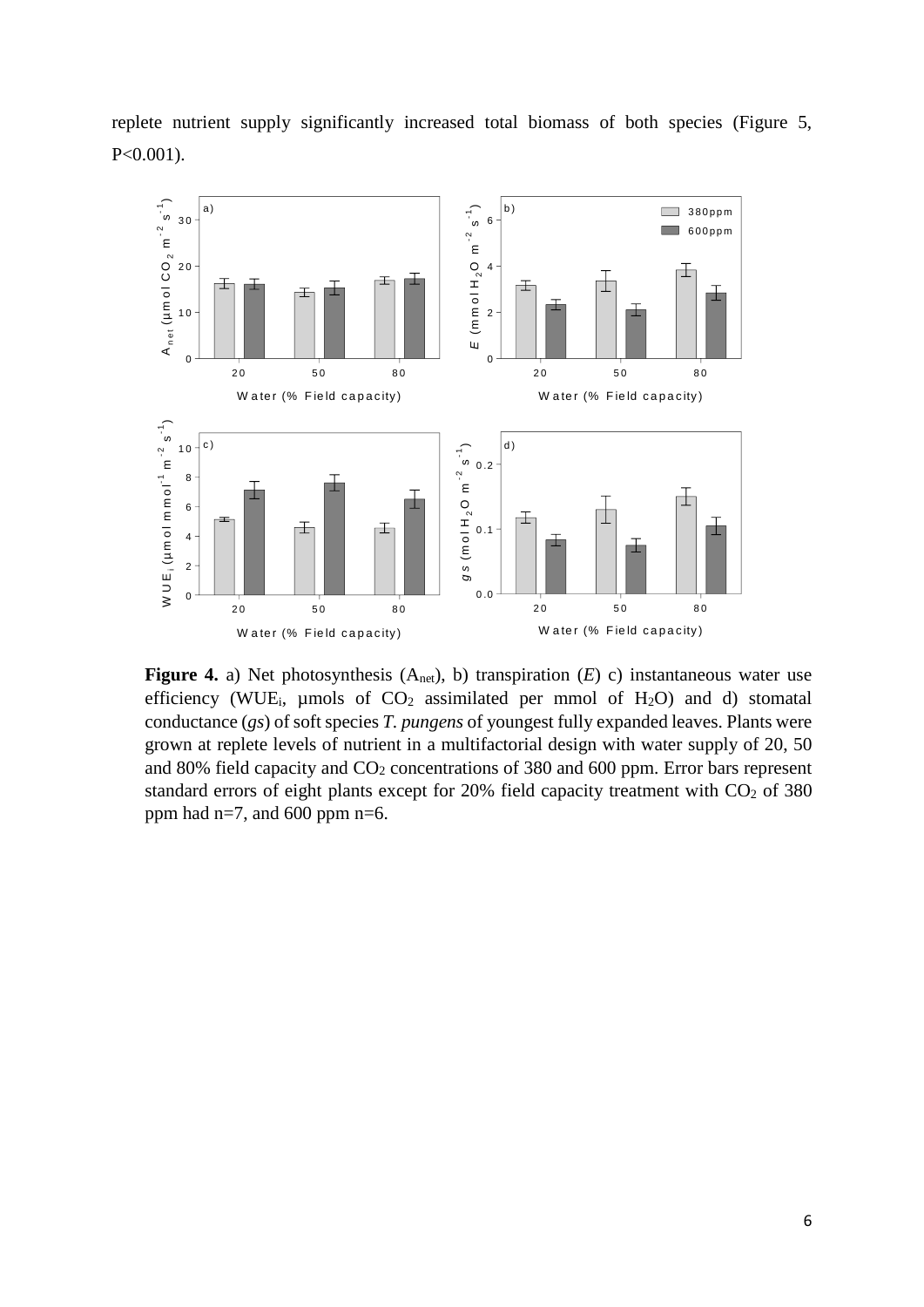replete nutrient supply significantly increased total biomass of both species [\(Figure 5,](#page-6-0) P<0.001).



<span id="page-5-0"></span>**Figure 4.** a) Net photosynthesis  $(A_{net})$ , b) transpiration  $(E)$  c) instantaneous water use efficiency (WUE<sub>i</sub>, µmols of  $CO<sub>2</sub>$  assimilated per mmol of H<sub>2</sub>O) and d) stomatal conductance (*gs*) of soft species *T. pungens* of youngest fully expanded leaves. Plants were grown at replete levels of nutrient in a multifactorial design with water supply of 20, 50 and 80% field capacity and CO<sub>2</sub> concentrations of 380 and 600 ppm. Error bars represent standard errors of eight plants except for  $20\%$  field capacity treatment with  $CO<sub>2</sub>$  of 380 ppm had  $n=7$ , and 600 ppm  $n=6$ .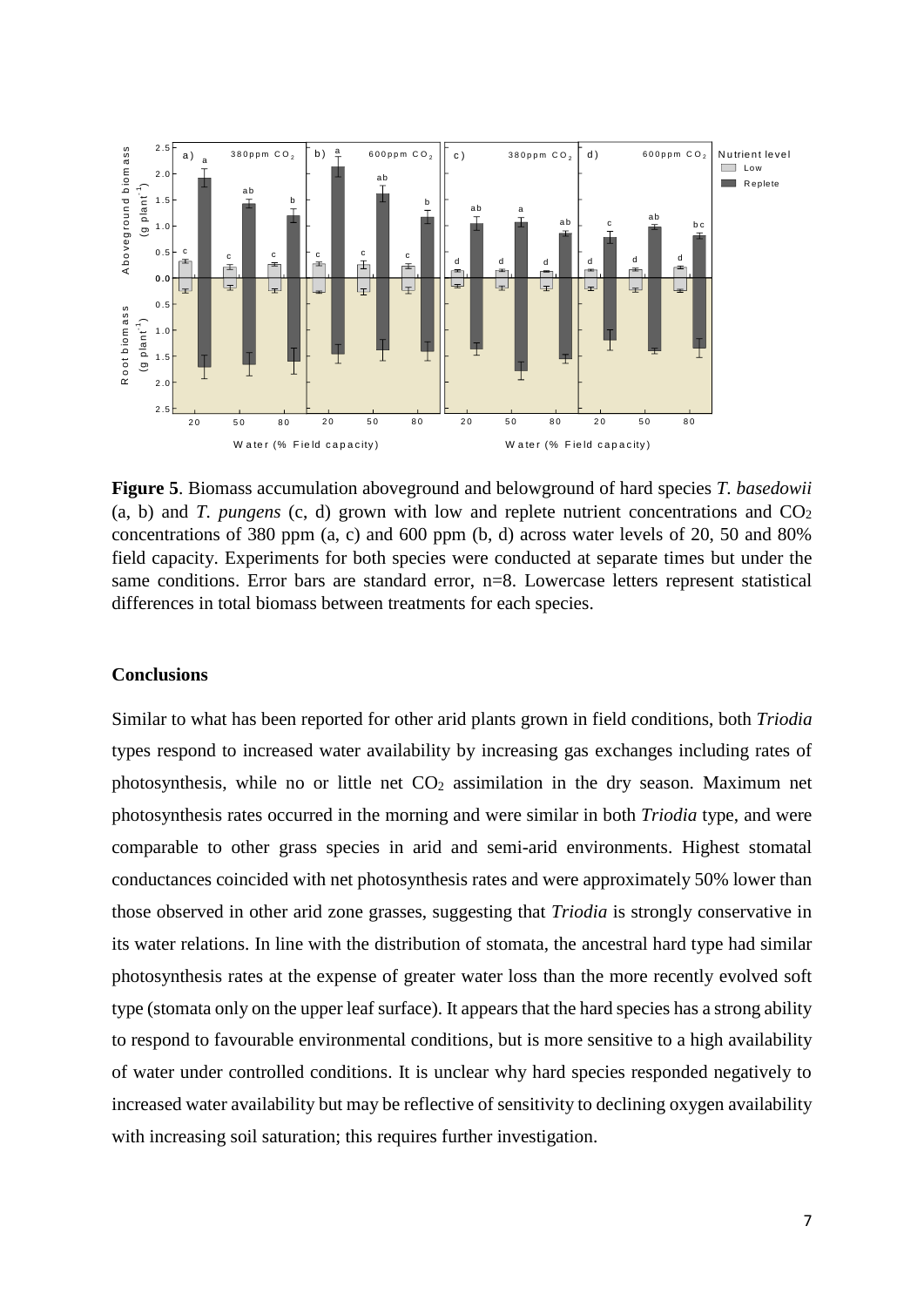

<span id="page-6-0"></span>**Figure 5**. Biomass accumulation aboveground and belowground of hard species *T. basedowii* (a, b) and *T. pungens* (c, d) grown with low and replete nutrient concentrations and  $CO<sub>2</sub>$ concentrations of 380 ppm (a, c) and 600 ppm (b, d) across water levels of 20, 50 and 80% field capacity. Experiments for both species were conducted at separate times but under the same conditions. Error bars are standard error, n=8. Lowercase letters represent statistical differences in total biomass between treatments for each species.

## **Conclusions**

Similar to what has been reported for other arid plants grown in field conditions, both *Triodia* types respond to increased water availability by increasing gas exchanges including rates of photosynthesis, while no or little net  $CO<sub>2</sub>$  assimilation in the dry season. Maximum net photosynthesis rates occurred in the morning and were similar in both *Triodia* type, and were comparable to other grass species in arid and semi-arid environments. Highest stomatal conductances coincided with net photosynthesis rates and were approximately 50% lower than those observed in other arid zone grasses, suggesting that *Triodia* is strongly conservative in its water relations. In line with the distribution of stomata, the ancestral hard type had similar photosynthesis rates at the expense of greater water loss than the more recently evolved soft type (stomata only on the upper leaf surface). It appears that the hard species has a strong ability to respond to favourable environmental conditions, but is more sensitive to a high availability of water under controlled conditions. It is unclear why hard species responded negatively to increased water availability but may be reflective of sensitivity to declining oxygen availability with increasing soil saturation; this requires further investigation.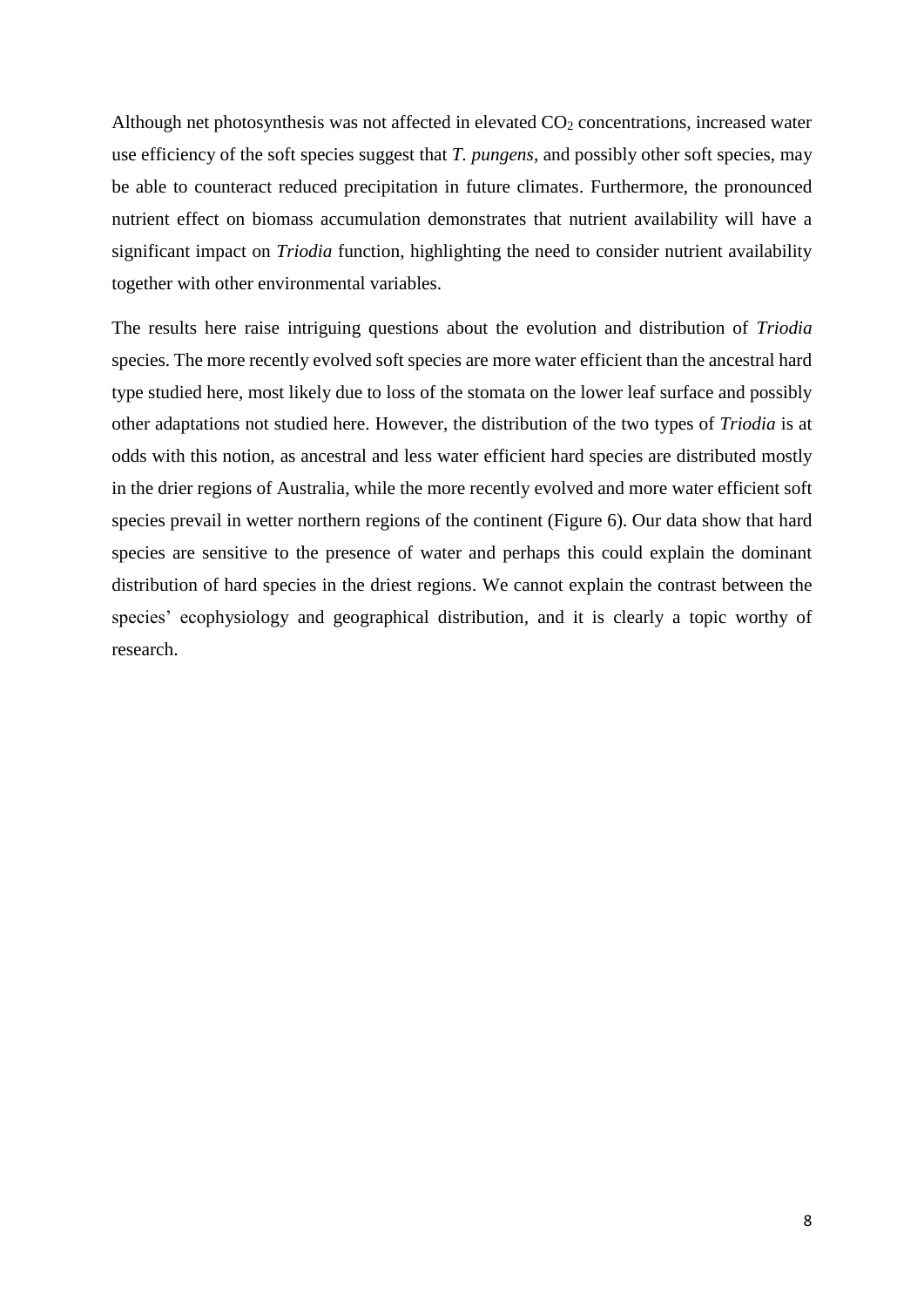Although net photosynthesis was not affected in elevated  $CO<sub>2</sub>$  concentrations, increased water use efficiency of the soft species suggest that *T. pungens*, and possibly other soft species, may be able to counteract reduced precipitation in future climates. Furthermore, the pronounced nutrient effect on biomass accumulation demonstrates that nutrient availability will have a significant impact on *Triodia* function, highlighting the need to consider nutrient availability together with other environmental variables.

The results here raise intriguing questions about the evolution and distribution of *Triodia*  species. The more recently evolved soft species are more water efficient than the ancestral hard type studied here, most likely due to loss of the stomata on the lower leaf surface and possibly other adaptations not studied here. However, the distribution of the two types of *Triodia* is at odds with this notion, as ancestral and less water efficient hard species are distributed mostly in the drier regions of Australia, while the more recently evolved and more water efficient soft species prevail in wetter northern regions of the continent [\(Figure 6\)](#page-8-0). Our data show that hard species are sensitive to the presence of water and perhaps this could explain the dominant distribution of hard species in the driest regions. We cannot explain the contrast between the species' ecophysiology and geographical distribution, and it is clearly a topic worthy of research.